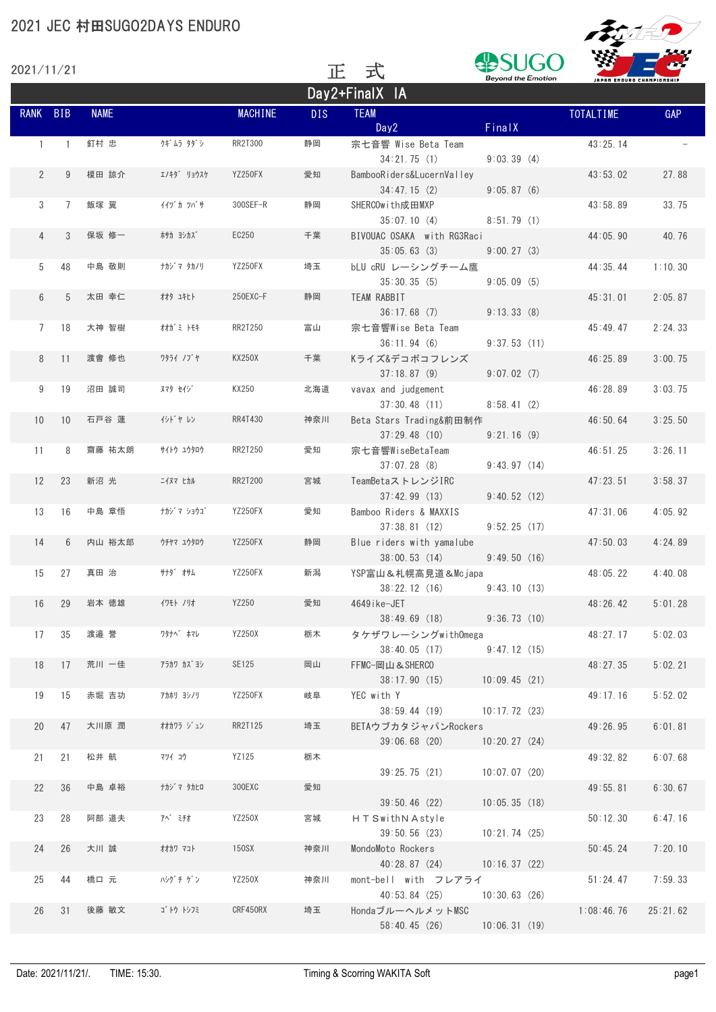| 2021/11/21      |                |             |             |                | 正          | 式                                         | <b>Beyond the Emotion</b> |                           | سد<br>m    |
|-----------------|----------------|-------------|-------------|----------------|------------|-------------------------------------------|---------------------------|---------------------------|------------|
|                 |                |             |             |                |            | Day2+FinalX IA                            |                           | JAPAN ENDURO CHAMPIONSHIP |            |
| RANK BIB        |                | <b>NAME</b> |             | <b>MACHINE</b> | <b>DIS</b> | <b>TEAM</b><br>Day2                       | FinalX                    | TOTALTIME                 | <b>GAP</b> |
| $\mathbf{1}$    | $\overline{1}$ | 釘村 忠        | クギムラ タダシ    | RR2T300        | 静岡         | 宗七音響 Wise Beta Team<br>34:21.75(1)        | 9:03.39(4)                | 43:25.14                  |            |
| $\overline{2}$  | 9              | 榎田 諒介       | エノキダ゛ リョウスケ | YZ250FX        | 愛知         | BambooRiders&LucernValley<br>34:47.15(2)  | 9:05.87(6)                | 43:53.02                  | 27.88      |
| 3               | $7\phantom{0}$ | 飯塚 翼        | イイツ゛カ ツバ゙サ  | 300SEF-R       | 静岡         | SHERCOwith成田MXP<br>35:07.10(4)            | 8:51.79(1)                | 43:58.89                  | 33.75      |
| $\overline{4}$  | 3              | 保坂 修一       | ホサカ ヨシカス゛   | EC250          | 千葉         | BIVOUAC OSAKA with RG3Raci<br>35:05.63(3) | 9:00.27(3)                | 44:05.90                  | 40.76      |
| 5               | 48             | 中島 敬則       | ナカジ マ タカノリ  | YZ250FX        | 埼玉         | bLU cRU レーシングチーム鷹<br>35:30.35(5)          | 9:05.09(5)                | 44:35.44                  | 1:10.30    |
| 6               | 5              | 太田 幸仁       | オオタ ユキヒト    | 250EXC-F       | 静岡         | TEAM RABBIT<br>36:17.68(7)                | 9:13.33(8)                | 45:31.01                  | 2:05.87    |
| 7               | 18             | 大神 智樹       | オオガミ トモキ    | RR2T250        | 富山         | 宗七音響Wise Beta Team<br>36:11.94(6)         | 9:37.53(11)               | 45:49.47                  | 2:24.33    |
| 8               | 11             | 渡會 修也       | ワタライ ノブヤ    | <b>KX250X</b>  | 千葉         | Kライズ&デコボコフレンズ<br>37:18.87(9)              | 9:07.02(7)                | 46:25.89                  | 3:00.75    |
| 9               | 19             | 沼田 誠司       | ヌマタ セイジ     | KX250          | 北海道        | vavax and judgement<br>37:30.48(11)       | 8:58.41(2)                | 46:28.89                  | 3:03.75    |
| 10 <sup>°</sup> | 10             | 石戸谷 蓮       | イシドヤレン      | RR4T430        | 神奈川        | Beta Stars Trading&前田制作<br>37:29.48(10)   | 9:21.16(9)                | 46:50.64                  | 3:25.50    |
| 11              | 8              | 齋藤 祐太朗      | #1トウ ユウタロウ  | RR2T250        | 愛知         | 宗七音響WiseBetaTeam<br>37:07.28(8)           | 9:43.97(14)               | 46:51.25                  | 3:26.11    |
| 12              | 23             | 新沼 光        | ニイヌマ ヒカル    | RR2T200        | 宮城         | TeamBetaストレンジIRC<br>37:42.99(13)          | 9:40.52(12)               | 47:23.51                  | 3:58.37    |
| 13              | 16             | 中島 章悟       | ナカジ マ ショウゴ  | YZ250FX        | 愛知         | Bamboo Riders & MAXXIS<br>37:38.81(12)    | 9:52.25(17)               | 47:31.06                  | 4:05.92    |
| 14              | 6              | 内山 裕太郎      | ウチヤマ ユウタロウ  | YZ250FX        | 静岡         | Blue riders with yamalube<br>38:00.53(14) | 9:49.50(16)               | 47:50.03                  | 4:24.89    |
| 15              | 27             | 真田 治        | サナダ゛ オサム    | YZ250FX        | 新潟         | YSP富山&札幌高見道&Mcjapa<br>38:22.12(16)        | 9:43.10(13)               | 48:05.22                  | 4:40.08    |
| 16              | 29             | 岩本 徳雄       | イワモト ノリオ    | YZ250          | 愛知         | 4649ike-JET<br>38:49.69(18)               | 9:36.73(10)               | 48:26.42                  | 5:01.28    |
| 17              | 35             | 渡邉 誉        | ワタナベ゛ホマレ    | YZ250X         | 栃木         | タケザワレーシングwith0mega<br>38:40.05(17)        | 9:47.12(15)               | 48:27.17                  | 5:02.03    |
| 18              | 17             | 荒川 一佳       | アラカワ カズ゙ヨシ  | SE125          | 岡山         | FFMC-岡山&SHERCO<br>38:17.90(15)            | 10:09.45(21)              | 48:27.35                  | 5:02.21    |
| 19              | 15             | 赤堀 吉功       | アカホリ ヨシノリ   | YZ250FX        | 岐阜         | YEC with Y<br>38:59.44(19)                | 10:17.72(23)              | 49:17.16                  | 5:52.02    |
| 20              | 47             | 大川原 潤       | オオカワラ ジョン   | RR2T125        | 埼玉         | BETAウブカタジャパンRockers<br>39:06.68(20)       | 10:20.27(24)              | 49:26.95                  | 6:01.81    |
| 21              | 21             | 松井 航        | マツイ コウ      | YZ125          | 栃木         | 39:25.75(21)                              | 10:07.07(20)              | 49:32.82                  | 6:07.68    |
| 22              | 36             | 中島 卓裕       | ナカジ マ タカヒロ  | 300EXC         | 愛知         | 39:50.46(22)                              | 10:05.35(18)              | 49:55.81                  | 6:30.67    |
| 23              | 28             | 阿部 道夫       | 7ベ ミチオ      | YZ250X         | 宮城         | HTSwithNAstyle<br>39:50.56(23)            | 10:21.74(25)              | 50:12.30                  | 6:47.16    |
| 24              | 26             | 大川 誠        | オオカワ マコト    | 150SX          | 神奈川        | MondoMoto Rockers<br>40:28.87 (24)        | 10:16.37(22)              | 50:45.24                  | 7:20.10    |
| 25              | 44             | 橋口 元        | パゾ チ ゲン     | YZ250X         | 神奈川        | mont-bell with フレアライ<br>40:53.84 (25)     | 10:30.63(26)              | 51:24.47                  | 7:59.33    |
| 26              | 31             | 後藤 敏文       | ゴトウ トシフミ    | CRF450RX       | 埼玉         | HondaブルーヘルメットMSC<br>58:40.45 (26)         | 10:06.31(19)              | 1:08:46.76                | 25:21.62   |

**FORED**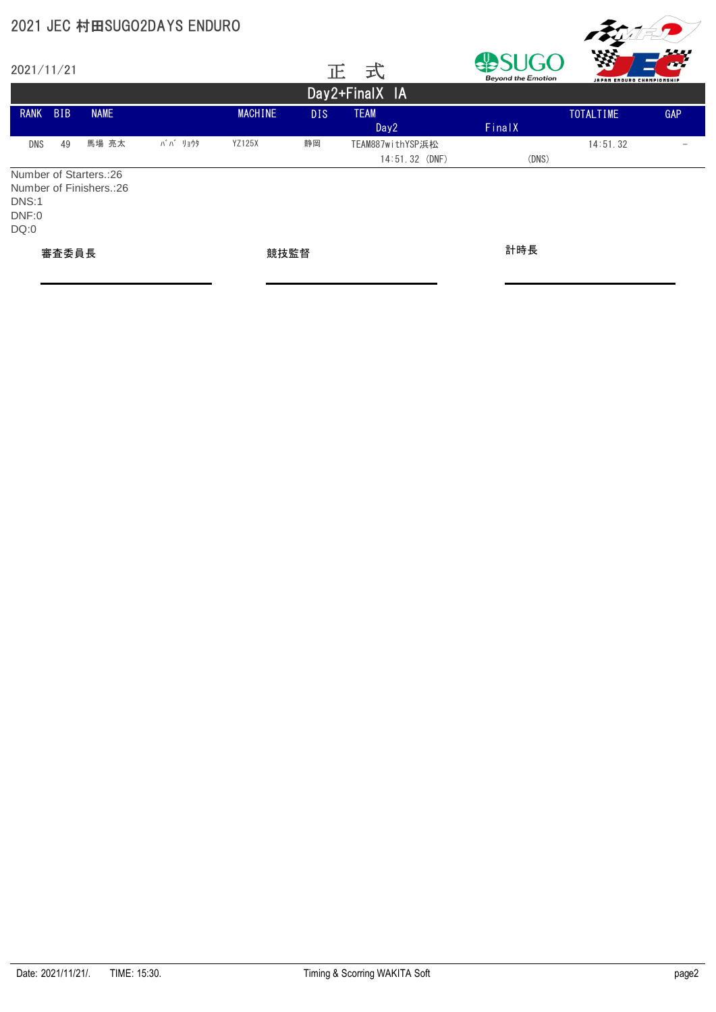| 2021/11/21             |            |                                                     |         |                |            | 式<br>正                             | <b>Beyond the Emotion</b> | 滋<br>JAPAN ENDURO CHAMPIONSHIP | <u> 1999 - 1999 - 1999 - 1999 - 1999 - 1999 - 1999 - 1999 - 1999 - 1999 - 1999 - 1999 - 1999 - 1999 - 1999 - 199</u> |
|------------------------|------------|-----------------------------------------------------|---------|----------------|------------|------------------------------------|---------------------------|--------------------------------|----------------------------------------------------------------------------------------------------------------------|
|                        |            |                                                     |         |                |            | Day2+FinalX IA                     |                           |                                |                                                                                                                      |
| <b>RANK</b>            | <b>BIB</b> | <b>NAME</b>                                         |         | <b>MACHINE</b> | <b>DIS</b> | <b>TEAM</b><br>Day2                | FinalX                    | TOTALTIME                      | <b>GAP</b>                                                                                                           |
| DNS                    | 49         | 馬場 亮太                                               | ババ リョウタ | <b>YZ125X</b>  | 静岡         | TEAM887withYSP浜松<br>14:51.32 (DNF) | (DNS)                     | 14:51.32                       |                                                                                                                      |
| DNS:1<br>DNF:0<br>DQ:0 |            | Number of Starters.: 26<br>Number of Finishers.: 26 |         |                |            |                                    |                           |                                |                                                                                                                      |
| 審査委員長                  |            |                                                     | 競技監督    |                |            | 計時長                                |                           |                                |                                                                                                                      |

**FOISP**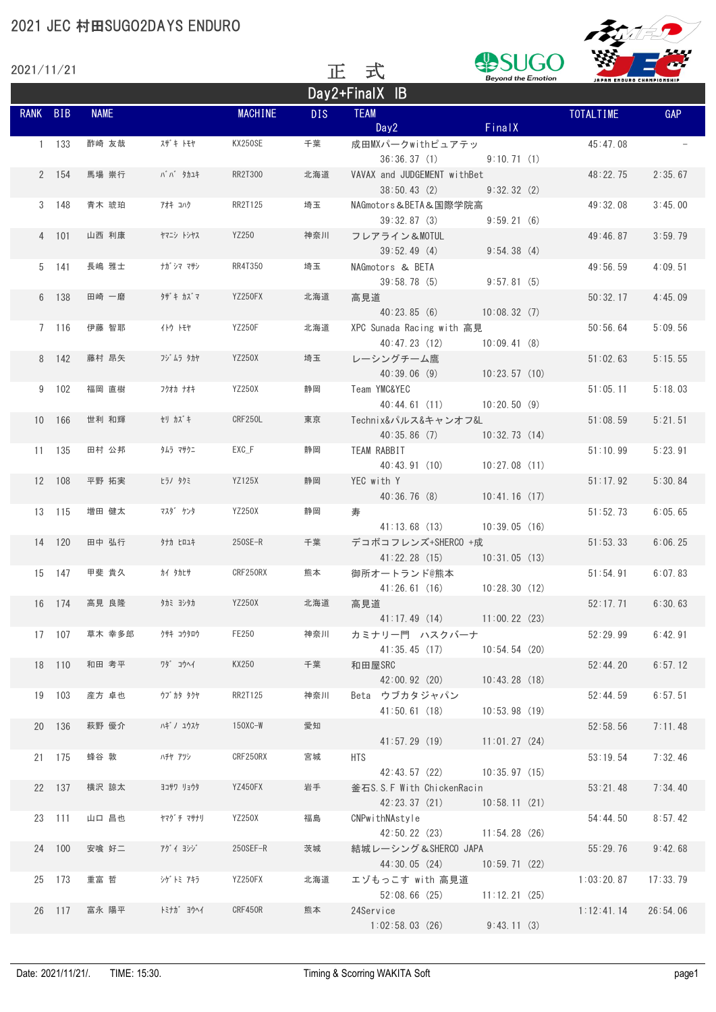|          | 2021/11/21 |             |                 | 式<br>TE.       |            | <b>Beyond the Emotion</b>                    |                                 | m<br>JAPAN ENDURO CHAMPIONSHIP |          |  |
|----------|------------|-------------|-----------------|----------------|------------|----------------------------------------------|---------------------------------|--------------------------------|----------|--|
|          |            |             |                 |                |            | Day2+FinalX IB                               |                                 |                                |          |  |
| RANK BIB |            | <b>NAME</b> |                 | <b>MACHINE</b> | <b>DIS</b> | <b>TEAM</b><br>Day2                          | FinalX                          | <b>TOTALTIME</b>               | GAP      |  |
|          | $1 - 133$  | 酢崎 友哉       | スザキトモヤ          | KX250SE        | 千葉         | 成田MXパークwithピュアテッ<br>36:36.37(1)              | 9:10.71(1)                      | 45:47.08                       |          |  |
|          | 2 154      | 馬場 崇行       | <b>ババ クカユキ</b>  | RR2T300        | 北海道        | VAVAX and JUDGEMENT withBet<br>38:50.43(2)   | 9:32.32(2)                      | 48:22.75                       | 2:35.67  |  |
|          | 3 148      | 青木 琥珀       | アオキコハク          | RR2T125        | 埼玉         | NAGmotors&BETA&国際学院高<br>39:32.87(3)          | 9:59.21(6)                      | 49:32.08                       | 3:45.00  |  |
|          | 4 101      | 山西 利康       | ヤマニシ トシヤス       | YZ250          | 神奈川        | フレアライン&MOTUL<br>39:52.49(4)                  | 9:54.38(4)                      | 49:46.87                       | 3:59.79  |  |
|          | 5 141      | 長嶋 雅士       | ナガ゙シマ マサシ       | RR4T350        | 埼玉         | NAGmotors & BETA<br>39:58.78(5)              | 9:57.81(5)                      | 49:56.59                       | 4:09.51  |  |
|          | 6 138      | 田崎 一磨       | タザキ カズマ         | YZ250FX        | 北海道        | 高見道<br>40:23.85(6)                           | 10:08.32(7)                     | 50:32.17                       | 4:45.09  |  |
|          | 7 116      | 伊藤 智耶       | イトウ トモヤ         | <b>YZ250F</b>  | 北海道        | XPC Sunada Racing with 高見<br>40:47.23(12)    | 10:09.41(8)                     | 50:56.64                       | 5:09.56  |  |
|          | 8 142      | 藤村 昂矢       | フジ ムラ タカヤ       | <b>YZ250X</b>  | 埼玉         | レーシングチーム鷹<br>40:39.06(9)                     | 10:23.57(10)                    | 51:02.63                       | 5:15.55  |  |
|          | 9 102      | 福岡 直樹       | フクオカナオキ         | YZ250X         | 静岡         | Team YMC&YEC<br>40:44.61(11)                 | 10:20.50(9)                     | 51:05.11                       | 5:18.03  |  |
|          | 10 166     | 世利 和輝       | セリ カズキ          | CRF250L        | 東京         | Technix&パルス&キャンオフ&L<br>40:35.86(7)           | 10:32.73(14)                    | 51:08.59                       | 5:21.51  |  |
|          | 11 135     | 田村 公邦       | タムラ マサクニ        | EXC F          | 静岡         | TEAM RABBIT<br>40:43.91(10)                  | 10:27.08(11)                    | 51:10.99                       | 5:23.91  |  |
|          | 12 108     | 平野 拓実       | ヒラノ タクミ         | <b>YZ125X</b>  | 静岡         | YEC with Y<br>40:36.76(8)                    | 10:41.16(17)                    | 51:17.92                       | 5:30.84  |  |
|          | 13 115     | 増田 健太       | マスダ゛ ケンタ        | YZ250X         | 静岡         | 寿<br>41:13.68 (13)                           | 10:39.05(16)                    | 51:52.73                       | 6:05.65  |  |
|          | 14 120     | 田中 弘行       | タナカ ヒロユキ        | $250SE-R$      | 千葉         | デコボコフレンズ+SHERCO +成<br>41:22.28(15)           | 10:31.05(13)                    | 51:53.33                       | 6:06.25  |  |
|          | 15 147     | 甲斐 貴久       | カイ タカヒサ         | CRF250RX       | 熊本         | 御所オートランド@熊本<br>41:26.61(16)                  | 10:28.30(12)                    | 51:54.91                       | 6:07.83  |  |
|          | 16 174     | 高見 良隆       | タカミ ヨシタカ        | YZ250X         | 北海道        | 高見道                                          | 41:17.49 (14) 11:00.22 (23)     | 52:17.71                       | 6:30.63  |  |
|          | 17 107     | 草木 幸多郎      | クサキ コウタロウ       | FE250          | 神奈川        | カミナリー門 ハスクバーナ                                | 41:35.45 (17) 10:54.54 (20)     | 52:29.99                       | 6:42.91  |  |
|          | 18 110     | 和田 考平       | ワダ゛ コウヘイ        | KX250          | 千葉         | 和田屋SRC<br>42:00.92 (20)                      | 10:43.28(18)                    | 52:44.20                       | 6:57.12  |  |
|          | 19 103     | 産方 卓也       | <b>ウブカタ タクヤ</b> | RR2T125        | 神奈川        | Beta ウブカタジャパン<br>41:50.61(18)                | 10:53.98(19)                    | 52:44.59                       | 6:57.51  |  |
|          | 20 136     | 萩野 優介       | ハギ ノ ユウスケ       | $150$ XC-W     | 愛知         | 41:57.29 (19)                                | 11:01.27(24)                    | 52:58.56                       | 7:11.48  |  |
|          | 21 175     | 蜂谷 敦        | ハチヤ アツシ         | CRF250RX       | 宮城         | <b>HTS</b>                                   | 42:43.57 (22) 10:35.97 (15)     | 53:19.54                       | 7:32.46  |  |
|          | 22 137     | 横沢 諒太       | ヨコサワ リョウタ       | YZ450FX        | 岩手         | 釜石S.S.F With ChickenRacin<br>42:23.37(21)    | 10:58.11(21)                    | 53:21.48                       | 7:34.40  |  |
|          | 23 111     | 山口 昌也       | ヤマグチマサナリ        | YZ250X         | 福島         | CNPwithNAstyle                               | 42:50.22 (23) 11:54.28 (26)     | 54:44.50                       | 8:57.42  |  |
|          | 24 100     | 安喰 好二       | アグイヨシゾ          | 250SEF-R       | 茨城         | 結城レーシング&SHERCO JAPA                          | 44:30.05 (24) 10:59.71 (22)     | 55:29.76                       | 9:42.68  |  |
|          | 25 173     | 重富 哲        | シゲトミ アキラ        | YZ250FX        | 北海道        | エゾもっこす with 高見道                              | $52:08.66$ (25) $11:12.21$ (25) | 1:03:20.87                     | 17:33.79 |  |
|          | 26 117     | 富永 陽平       | トミナガ゛ ヨウヘイ      | CRF450R        | 熊本         | 24Service<br>$1:02:58.03$ (26) $9:43.11$ (3) |                                 | 1:12:41.14                     | 26:54.06 |  |

FRANKO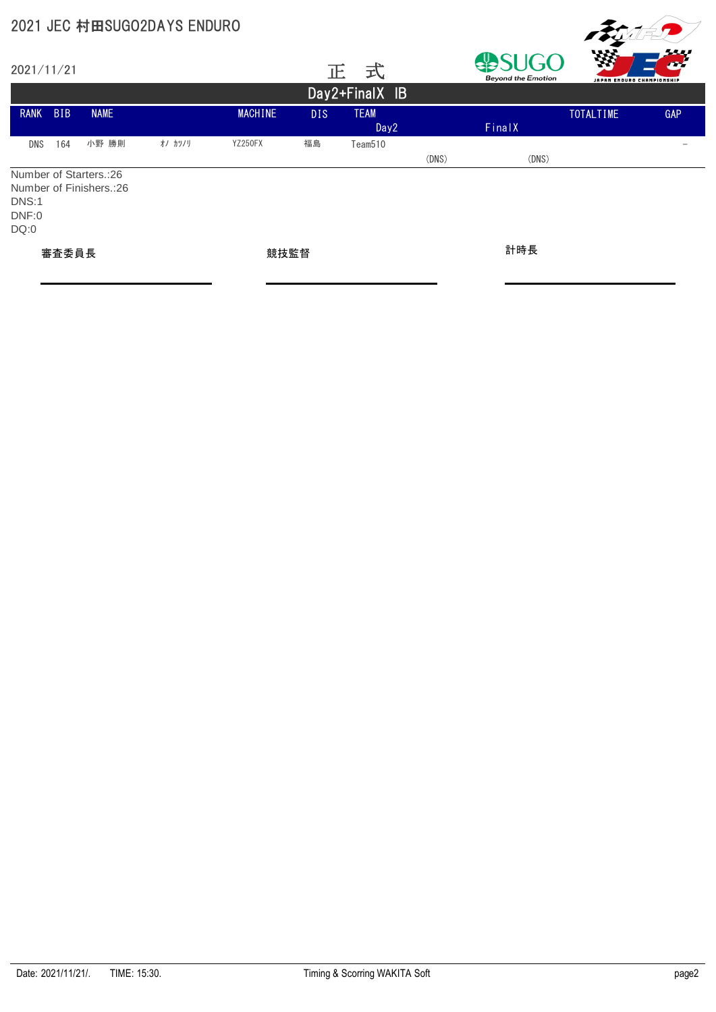|                        |                   |                                                    | 2021 JEC 村田SUGO2DAYS ENDURO |         |            |                                 |       |                                          |                                 |     |  |  |  |
|------------------------|-------------------|----------------------------------------------------|-----------------------------|---------|------------|---------------------------------|-------|------------------------------------------|---------------------------------|-----|--|--|--|
| 2021/11/21             |                   |                                                    |                             |         |            | 式<br>正                          |       | <b>SUGO</b><br><b>Beyond the Emotion</b> | WА<br>JAPAN ENDURO CHAMPIONSHIP |     |  |  |  |
|                        | Day 2+ Final X IB |                                                    |                             |         |            |                                 |       |                                          |                                 |     |  |  |  |
| <b>RANK</b>            | <b>BIB</b>        | <b>NAME</b>                                        |                             | MACHINE | <b>DIS</b> | <b>TEAM</b><br>Day <sub>2</sub> |       | FinalX                                   | <b>TOTALTIME</b>                | GAP |  |  |  |
| <b>DNS</b>             | 164               | 小野 勝則                                              | オノ カツノリ                     | YZ250FX | 福島         | Team510                         | (DNS) | (DNS)                                    |                                 |     |  |  |  |
| DNS:1<br>DNF:0<br>DQ:0 |                   | Number of Starters.:26<br>Number of Finishers.: 26 |                             |         |            |                                 |       |                                          |                                 |     |  |  |  |
| 審査委員長                  |                   |                                                    |                             | 競技監督    |            |                                 |       | 計時長                                      |                                 |     |  |  |  |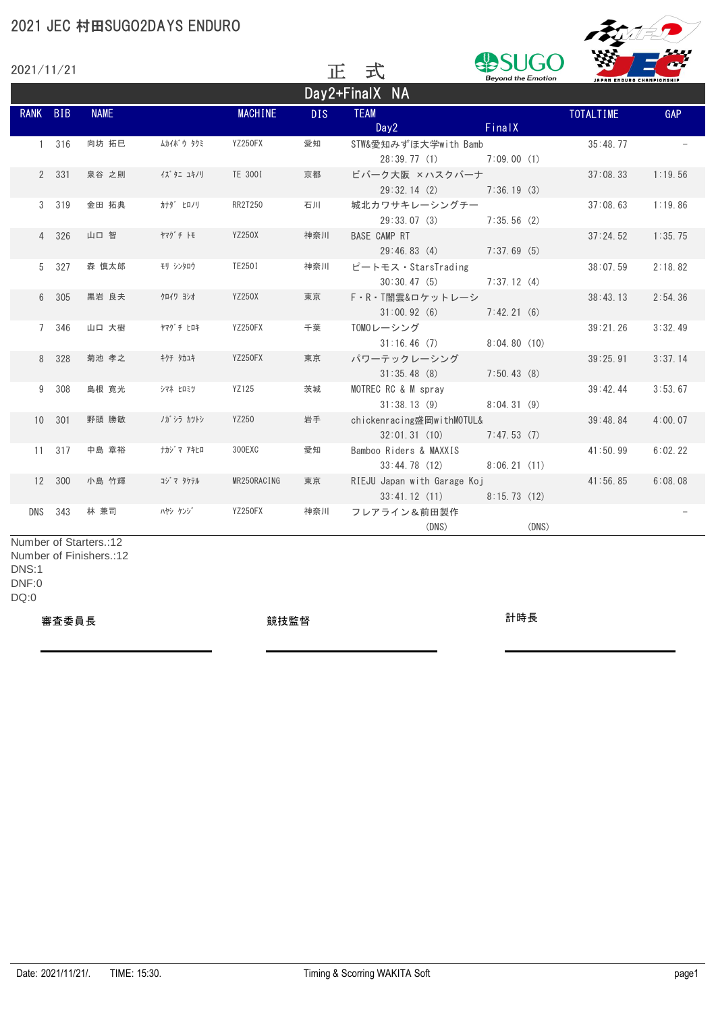|             | 2021 JEC 村田SUGO2DAYS ENDURO |                                                   |            |                |            |                                             |                           |                           |            |  |  |  |
|-------------|-----------------------------|---------------------------------------------------|------------|----------------|------------|---------------------------------------------|---------------------------|---------------------------|------------|--|--|--|
| 2021/11/21  |                             |                                                   |            |                | 正          | 式                                           | <b>Beyond the Emotion</b> | JAPAN ENDURO CHAMPIONSHIP |            |  |  |  |
|             |                             |                                                   |            |                |            | Day2+FinalX NA                              |                           |                           |            |  |  |  |
| <b>RANK</b> | <b>BIB</b>                  | <b>NAME</b>                                       |            | <b>MACHINE</b> | <b>DIS</b> | <b>TEAM</b><br>Day <sub>2</sub>             | FinalX                    | TOTALTIME                 | <b>GAP</b> |  |  |  |
|             | 1 316                       | 向坊 拓巳                                             | ムカイボウ タクミ  | YZ250FX        | 愛知         | STW&愛知みずほ大学with Bamb<br>28:39.77(1)         | 7:09.00(1)                | 35:48.77                  |            |  |  |  |
|             | 2 331                       | 泉谷 之則                                             | イズ タニ ユキノリ | TE 300I        | 京都         | ビバーク大阪 ×ハスクバーナ<br>29:32.14(2)               | 7:36.19(3)                | 37:08.33                  | 1:19.56    |  |  |  |
|             | 3 319                       | 金田 拓典                                             | カナダ ヒロノリ   | RR2T250        | 石川         | 城北カワサキレーシングチー<br>29:33.07(3)                | 7:35.56(2)                | 37:08.63                  | 1:19.86    |  |  |  |
|             | 4 326                       | 山口 智                                              | ヤマグチトモ     | <b>YZ250X</b>  | 神奈川        | <b>BASE CAMP RT</b><br>29:46.83(4)          | 7:37.69(5)                | 37:24.52                  | 1:35.75    |  |  |  |
|             | 5 327                       | 森 慎太郎                                             | モリ シンタロウ   | TE250I         | 神奈川        | ピートモス・StarsTrading<br>30:30.47(5)           | 7:37.12(4)                | 38:07.59                  | 2:18.82    |  |  |  |
|             | 6 305                       | 黒岩 良夫                                             | クロイワ ヨシオ   | <b>YZ250X</b>  | 東京         | F·R·T闇雲&ロケットレーシ<br>31:00.92(6)              | 7:42.21(6)                | 38:43.13                  | 2:54.36    |  |  |  |
|             | 7 346                       | 山口 大樹                                             | ヤマグ チ ヒロキ  | YZ250FX        | 千葉         | TOMOレーシング<br>31:16.46(7)                    | 8:04.80(10)               | 39:21.26                  | 3:32.49    |  |  |  |
|             | 8 328                       | 菊池 孝之                                             | キクチ タカユキ   | YZ250FX        | 東京         | パワーテックレーシング<br>31:35.48(8)                  | 7:50.43(8)                | 39:25.91                  | 3:37.14    |  |  |  |
|             | 9 308                       | 島根 寛光                                             | シマネ ヒロミツ   | YZ125          | 茨城         | MOTREC RC & M spray<br>31:38.13(9)          | 8:04.31(9)                | 39:42.44                  | 3:53.67    |  |  |  |
|             | 10 301                      | 野頭 勝敏                                             | ノガ・シラ カツトシ | YZ250          | 岩手         | chickenracing盛岡withMOTUL&<br>32:01.31(10)   | 7:47.53(7)                | 39:48.84                  | 4:00.07    |  |  |  |
|             | 11 317                      | 中島 章裕                                             | ナカジ マ アキヒロ | 300EXC         | 愛知         | Bamboo Riders & MAXXIS<br>33:44.78(12)      | 8:06.21(11)               | 41:50.99                  | 6:02.22    |  |  |  |
| 12          | 300                         | 小島 竹輝                                             | コジ マ タケテル  | MR250RACING    | 東京         | RIEJU Japan with Garage Koj<br>33:41.12(11) | 8:15.73(12)               | 41:56.85                  | 6:08.08    |  |  |  |
| <b>DNS</b>  | 343                         | 林 兼司                                              | ハヤシ ケンジ    | YZ250FX        | 神奈川        | フレアライン&前田製作<br>(DNS)                        | (DNS)                     |                           |            |  |  |  |
|             |                             | Number of Starters.:12<br>Number of Finishers.:12 |            |                |            |                                             |                           |                           |            |  |  |  |

DNS:1 DNF:0 DQ:0

審査委員長 競技監督 計時長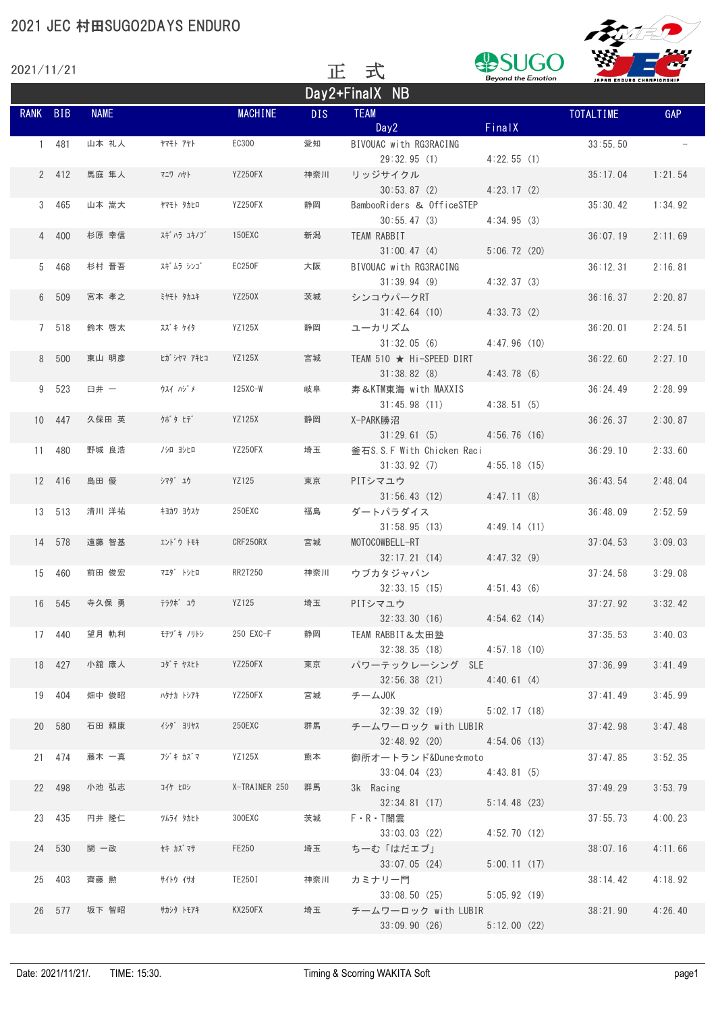| 2021/11/21 |        |             |             |                | TE.        | 式                                             | <b>Beyond the Emotion</b> | JAPAN ENDURO CHAMPIONSHIP | --<br>m |
|------------|--------|-------------|-------------|----------------|------------|-----------------------------------------------|---------------------------|---------------------------|---------|
|            |        |             |             |                |            | Day2+FinalX NB                                |                           |                           |         |
| RANK BIB   |        | <b>NAME</b> |             | <b>MACHINE</b> | <b>DIS</b> | <b>TEAM</b><br>Day2                           | FinalX                    | <b>TOTALTIME</b>          | GAP     |
|            | 1 481  | 山本 礼人       | ヤマモト アヤト    | EC300          | 愛知         | BIVOUAC with RG3RACING<br>29:32.95(1)         | 4:22.55(1)                | 33:55.50                  |         |
|            | 2 412  | 馬庭 隼人       | マニワ ハヤト     | YZ250FX        | 神奈川        | リッジサイクル<br>30:53.87(2)                        | 4:23.17(2)                | 35:17.04                  | 1:21.54 |
|            | 3 465  | 山本 嵩大       | ヤマモト タカヒロ   | YZ250FX        | 静岡         | BambooRiders & OfficeSTEP<br>30:55.47(3)      | 4:34.95(3)                | 35:30.42                  | 1:34.92 |
|            | 4 400  | 杉原 幸信       | スギ ハラ ユキノブ  | 150EXC         | 新潟         | TEAM RABBIT<br>31:00.47(4)                    | 5:06.72(20)               | 36:07.19                  | 2:11.69 |
|            | 5 468  | 杉村 晋吾       | スギ ムラ シンゴ   | EC250F         | 大阪         | BIVOUAC with RG3RACING<br>31:39.94(9)         | 4:32.37(3)                | 36:12.31                  | 2:16.81 |
|            | 6 509  | 宮本 孝之       | ミヤモト タカユキ   | <b>YZ250X</b>  | 茨城         | シンコウパークRT<br>31:42.64(10)                     | 4:33.73(2)                | 36:16.37                  | 2:20.87 |
|            | 7 518  | 鈴木 啓太       | スズキケイタ      | <b>YZ125X</b>  | 静岡         | ユーカリズム<br>31:32.05(6)                         | 4:47.96(10)               | 36:20.01                  | 2:24.51 |
|            | 8 500  | 東山 明彦       | ヒガ シヤマ アキヒコ | <b>YZ125X</b>  | 宮城         | TEAM 510 ★ Hi-SPEED DIRT<br>31:38.82(8)       | 4:43.78(6)                | 36:22.60                  | 2:27.10 |
|            | 9 523  | 臼井 一        | ウスイ ハジメ     | $125XC-W$      | 岐阜         | 寿&KTM東海 with MAXXIS<br>31:45.98(11)           | 4:38.51(5)                | 36:24.49                  | 2:28.99 |
|            | 10 447 | 久保田 英       | クボタ ヒデ      | YZ125X         | 静岡         | X-PARK勝沼<br>31:29.61(5)                       | 4:56.76(16)               | 36:26.37                  | 2:30.87 |
|            | 11 480 | 野城 良浩       | /シロ ヨシヒロ    | YZ250FX        | 埼玉         | 釜石S.S.F With Chicken Raci<br>31:33.92(7)      | 4:55.18(15)               | 36:29.10                  | 2:33.60 |
|            | 12 416 | 島田 優        | シマタ゛ ユウ     | YZ125          | 東京         | PITシマユウ<br>31:56.43(12)                       | 4:47.11(8)                | 36:43.54                  | 2:48.04 |
|            | 13 513 | 清川 洋祐       | キョカワ ヨウスケ   | 250EXC         | 福島         | ダートパラダイス<br>31:58.95(13)                      | 4:49.14(11)               | 36:48.09                  | 2:52.59 |
|            | 14 578 | 遠藤 智基       | エンドウトモキ     | CRF250RX       | 宮城         | MOTOCOWBELL-RT<br>32:17.21(14)                | 4:47.32(9)                | 37:04.53                  | 3:09.03 |
|            | 15 460 | 前田 俊宏       | 719 トシヒロ    | RR2T250        | 神奈川        | ウブカタジャパン<br>32:33.15(15)                      | 4:51.43(6)                | 37:24.58                  | 3:29.08 |
|            | 16 545 | 寺久保 勇       | テラクボ゛ュウ     | YZ125          | 埼玉         | PITシマユウ<br>32:33.30(16)                       | 4:54.62(14)               | 37:27.92                  | 3:32.42 |
|            | 17 440 | 望月 軌利       | モチヅキノリトシ    | 250 EXC-F      | 静岡         | TEAM RABBIT&太田塾<br>32:38.35 (18) 4:57.18 (10) |                           | 37:35.53                  | 3:40.03 |
|            | 18 427 | 小舘 康人       | コダ テ ヤスヒト   | YZ250FX        | 東京         | パワーテックレーシング SLE<br>32:56.38(21)               | 4:40.61(4)                | 37:36.99                  | 3:41.49 |
|            | 19 404 | 畑中 俊昭       | ハタナカ トシアキ   | YZ250FX        | 宮城         | チームJOK<br>32:39.32(19)                        | 5:02.17(18)               | 37:41.49                  | 3:45.99 |
|            | 20 580 | 石田 頼康       | イシタ゛ ヨリヤス   | 250EXC         | 群馬         | チームワーロック with LUBIR<br>32:48.92 (20)          | 4:54.06(13)               | 37:42.98                  | 3:47.48 |
|            | 21 474 | 藤木 一真       | フジキ カズマ     | <b>YZ125X</b>  | 熊本         | 御所オートランド&Dune☆moto<br>33:04.04 (23)           | 4:43.81(5)                | 37:47.85                  | 3:52.35 |
|            | 22 498 | 小池 弘志       | コイケ ヒロシ     | X-TRAINER 250  | 群馬         | 3k Racing<br>32:34.81 (17)                    | 5:14.48(23)               | 37:49.29                  | 3:53.79 |
|            | 23 435 | 円井 隆仁       | ツムライ タカヒト   | 300EXC         | 茨城         | $F \cdot R \cdot T$ 闇雲<br>33:03.03(22)        | 4:52.70(12)               | 37:55.73                  | 4:00.23 |
|            | 24 530 | 関 一政        | セキ カズ マサ    | FE250          | 埼玉         | ちーむ「はだエプ」<br>33:07.05(24)                     | 5:00.11(17)               | 38:07.16                  | 4:11.66 |
|            | 25 403 | 齊藤 勲        | サイトウ イサオ    | TE250I         | 神奈川        | カミナリー門<br>33:08.50(25)                        | 5:05.92(19)               | 38:14.42                  | 4:18.92 |
|            | 26 577 | 坂下 智昭       | サカシタ トモアキ   | KX250FX        | 埼玉         | チームワーロック with LUBIR<br>33:09.90(26)           | 5:12.00(22)               | 38:21.90                  | 4:26.40 |

FRANKO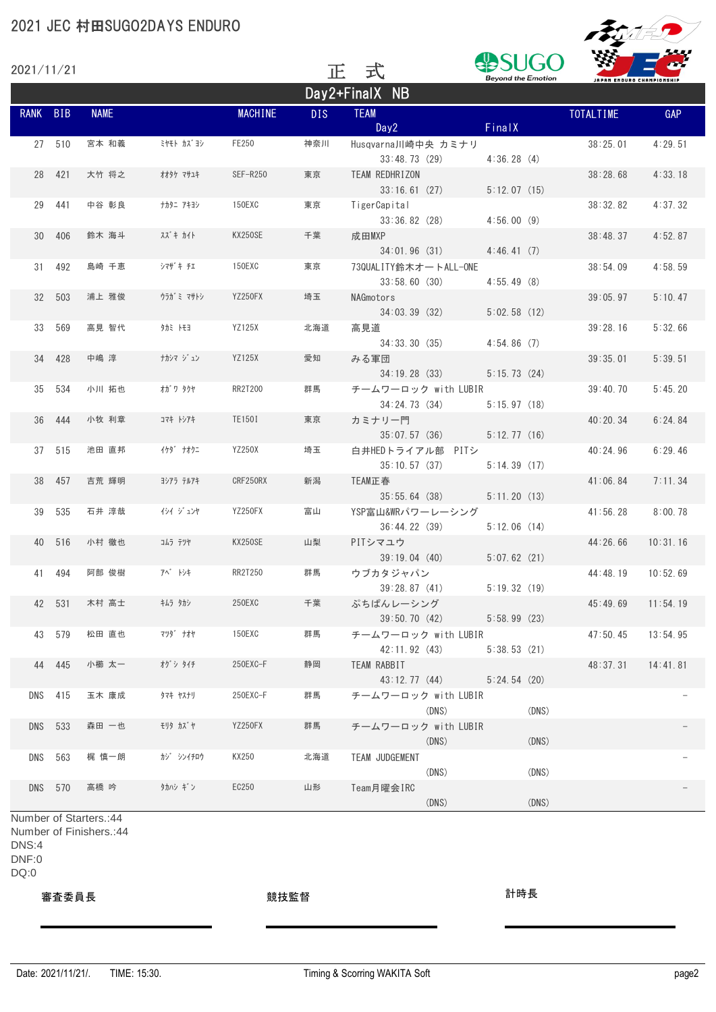|            |         |             | 2021 JEC 村田SUGO2DAYS ENDURO |                |            |                                       |                           | $\sqrt{2}$                |            |
|------------|---------|-------------|-----------------------------|----------------|------------|---------------------------------------|---------------------------|---------------------------|------------|
| 2021/11/21 |         |             |                             |                | 正          | 式                                     | <b>Beyond the Emotion</b> | JAPAN ENDURO CHAMPIONSHIP |            |
|            |         |             |                             |                |            | Day2+FinalX NB                        |                           |                           |            |
| RANK BIB   |         | <b>NAME</b> |                             | <b>MACHINE</b> | <b>DIS</b> | <b>TEAM</b><br>Day2                   | FinalX                    | <b>TOTALTIME</b>          | <b>GAP</b> |
|            | 27 510  | 宮本 和義       | ミヤモト カズ ヨシ                  | FE250          | 神奈川        | Husqvarna川崎中央 カミナリ<br>33:48.73(29)    | 4:36.28(4)                | 38:25.01                  | 4:29.51    |
| 28         | 421     | 大竹 将之       | オオタケ マサユキ                   | SEF-R250       | 東京         | TEAM REDHRIZON<br>33:16.61(27)        | 5:12.07(15)               | 38:28.68                  | 4:33.18    |
| 29         | 441     | 中谷 彰良       | ナカタニ アキヨシ                   | 150EXC         | 東京         | TigerCapital<br>33:36.82(28)          | 4:56.00(9)                | 38:32.82                  | 4:37.32    |
| 30         | 406     | 鈴木 海斗       | スズキ カイト                     | KX250SE        | 千葉         | 成田MXP<br>34:01.96(31)                 | 4:46.41(7)                | 38:48.37                  | 4:52.87    |
| 31         | 492     | 島崎 千恵       | シマザキ チェ                     | 150EXC         | 東京         | 730UALITY鈴木オートALL-ONE<br>33:58,60(30) | 4:55.49(8)                | 38:54.09                  | 4:58.59    |
| 32         | 503     | 浦上 雅俊       | ウラガミ マサトシ                   | YZ250FX        | 埼玉         | NAGmotors<br>34:03.39(32)             | 5:02.58(12)               | 39:05.97                  | 5:10.47    |
| 33         | 569     | 高見 智代       | タカミ トモヨ                     | YZ125X         | 北海道        | 高見道<br>34:33.30(35)                   | 4:54.86(7)                | 39:28.16                  | 5:32.66    |
|            | 34 428  | 中嶋 淳        | ナカシマ ジュン                    | YZ125X         | 愛知         | みる軍団<br>34:19.28(33)                  | 5:15.73(24)               | 39:35.01                  | 5:39.51    |
| 35         | 534     | 小川 拓也       | オガ゛ワ タクヤ                    | RR2T200        | 群馬         | チームワーロック with LUBIR<br>34:24.73(34)   | 5:15.97(18)               | 39:40.70                  | 5:45.20    |
| 36         | 444     | 小牧 利章       | コマキトシアキ                     | TE150I         | 東京         | カミナリー門<br>35:07.57(36)                | 5:12.77(16)               | 40:20.34                  | 6:24.84    |
| 37         | 515     | 池田 直邦       | イケダ゛ ナオクニ                   | YZ250X         | 埼玉         | 白井HEDトライアル部 PITシ<br>35:10.57(37)      | 5:14.39(17)               | 40:24.96                  | 6:29.46    |
| 38         | 457     | 吉荒 輝明       | ヨシアラ テルアキ                   | CRF250RX       | 新潟         | TEAM正春<br>35:55.64(38)                | 5:11.20(13)               | 41:06.84                  | 7:11.34    |
| 39         | 535     | 石井 淳哉       | イシイ ジュンヤ                    | YZ250FX        | 富山         | YSP富山&WRパワーレーシング<br>36:44.22 (39)     | 5:12.06(14)               | 41:56.28                  | 8:00.78    |
| 40         | 516     | 小村 徹也       | コムラ テツヤ                     | <b>KX250SE</b> | 山梨         | PITシマユウ<br>39:19.04(40)               | 5:07.62(21)               | 44:26.66                  | 10:31.16   |
|            | 41 494  | 阿部 俊樹       | アベ トシキ                      | RR2T250        | 群馬         | ウブカタジャパン<br>39:28.87(41)              | 5:19.32(19)               | 44:48.19                  | 10:52.69   |
|            | 42 531  | 木村 高士       | キムラ タカシ                     | 250EXC         | 千葉         | ぷちぱんレーシング<br>39:50.70 (42)            | 5:58.99(23)               | 45:49.69                  | 11:54.19   |
|            | 43 579  | 松田 直也       | マツタ゛ ナオヤ                    | 150EXC         | 群馬         | チームワーロック with LUBIR<br>42:11.92(43)   | 5:38.53(21)               | 47:50.45                  | 13:54.95   |
|            | 44 445  | 小櫛 太一       | かう外チ                        | 250EXC-F       | 静岡         | TEAM RABBIT<br>43:12.77 (44)          | 5:24.54(20)               | 48:37.31                  | 14:41.81   |
|            | DNS 415 | 玉木 康成       | タマキ ヤスナリ                    | 250EXC-F       | 群馬         | チームワーロック with LUBIR<br>(DNS)          | (DNS)                     |                           |            |
| <b>DNS</b> | 533     | 森田 一也       | モリタ カズヤ                     | YZ250FX        | 群馬         | チームワーロック with LUBIR<br>(DNS)          | (DNS)                     |                           |            |
| DNS        | 563     | 梶 慎一朗       | カゾ シンイチロウ                   | KX250          | 北海道        | TEAM JUDGEMENT<br>(DNS)               | (DNS)                     |                           |            |
|            | DNS 570 | 高橋 吟        | タカハシ ギン                     | EC250          | 山形         | Team月曜会IRC<br>(DNS)                   | (DNS)                     |                           |            |

Number of Starters.:44 Number of Finishers.:44 DNS:4 DNF:0 DQ:0

審査委員長 競技監督 計時長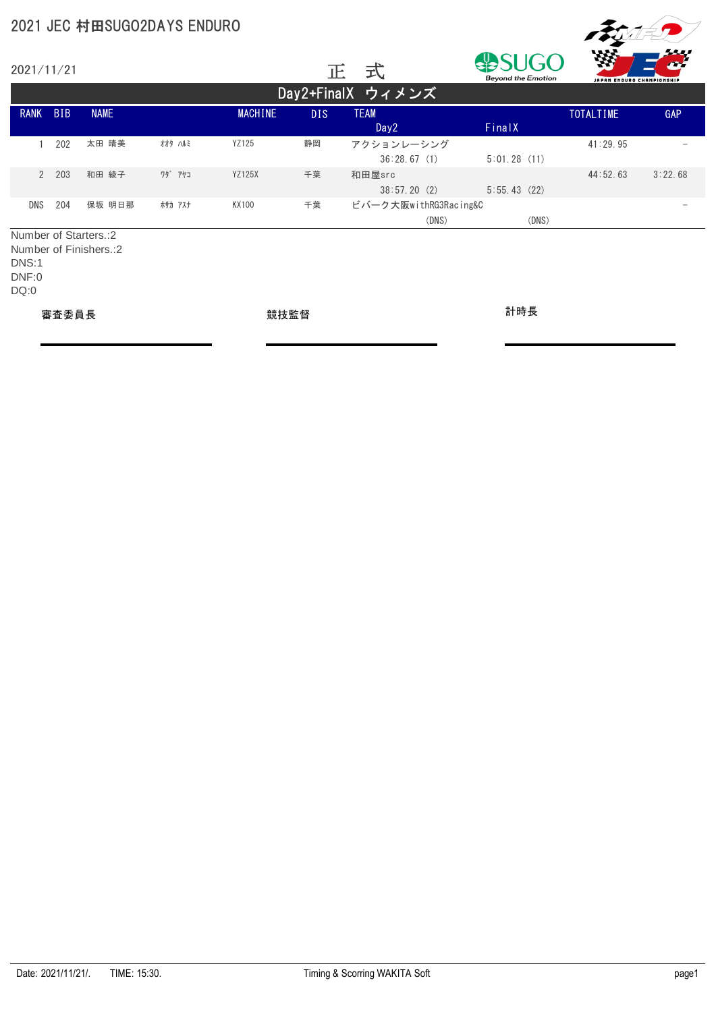|                        |            | 2021 JEC 村田SUGO2DAYS ENDURO                      |         |                |            |                                 |                           |                                 |            |  |
|------------------------|------------|--------------------------------------------------|---------|----------------|------------|---------------------------------|---------------------------|---------------------------------|------------|--|
| 2021/11/21             |            |                                                  |         |                |            | 式<br>正                          | <b>Beyond the Emotion</b> | 44<br>JAPAN ENDURO CHAMPIONSHIP |            |  |
|                        |            |                                                  |         |                |            | Day2+FinalX ウィメンズ               |                           |                                 |            |  |
| <b>RANK</b>            | <b>BIB</b> | <b>NAME</b>                                      |         | <b>MACHINE</b> | <b>DIS</b> | <b>TEAM</b><br>Day <sub>2</sub> | FinalX                    | <b>TOTALTIME</b>                | <b>GAP</b> |  |
|                        | 202        | 太田 晴美                                            | オオタ ハルミ | YZ125          | 静岡         | アクションレーシング<br>36:28.67(1)       | 5:01.28(11)               | 41:29.95                        |            |  |
| $\mathcal{P}$          | 203        | 和田 綾子                                            | ワタ゛アヤコ  | <b>YZ125X</b>  | 千葉         | 和田屋src<br>38:57.20(2)           | 5:55.43(22)               | 44:52.63                        | 3:22.68    |  |
| <b>DNS</b>             | 204        | 保坂 明日那                                           | ホサカ アスナ | KX100          | 千葉         | ビバーク大阪withRG3Racing&C<br>(DNS)  | (DNS)                     |                                 |            |  |
| DNS:1<br>DNF:0<br>DQ:0 |            | Number of Starters.:2<br>Number of Finishers.: 2 |         |                |            |                                 |                           |                                 |            |  |

審査委員長 競技監督 計時長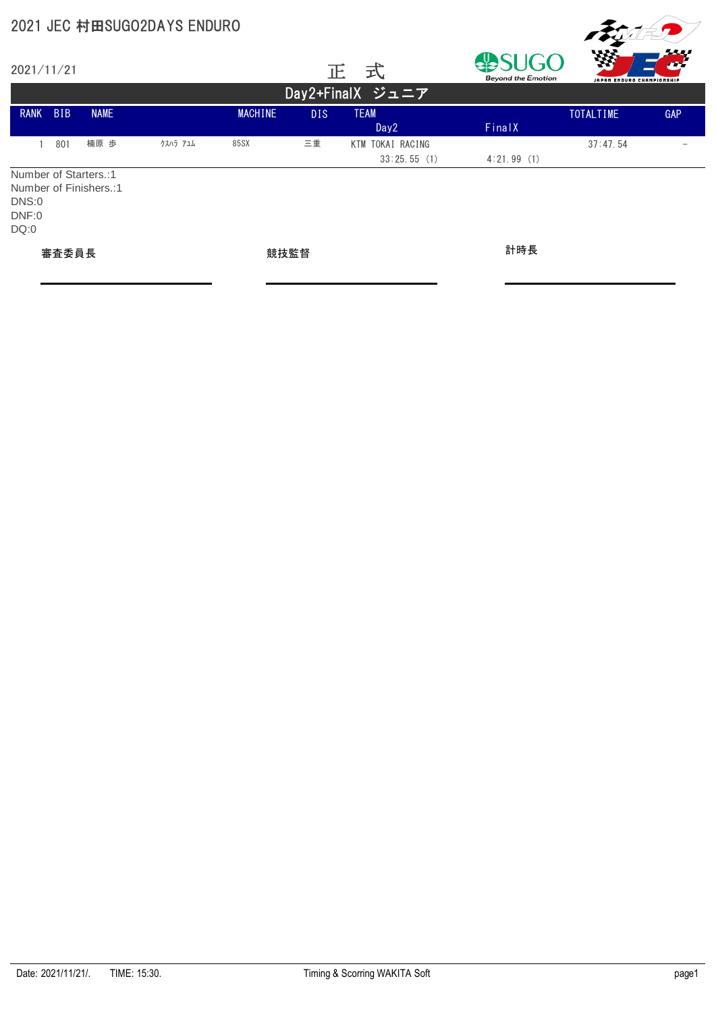|                        |            |                                                 | 2021 JEC 村田SUGO2DAYS ENDURO |                |            |                                 |                                  |                                |     |  |  |  |
|------------------------|------------|-------------------------------------------------|-----------------------------|----------------|------------|---------------------------------|----------------------------------|--------------------------------|-----|--|--|--|
| 2021/11/21             |            |                                                 |                             |                | 正          | 式                               | UGO<br><b>Beyond the Emotion</b> | W<br>JAPAN ENDURO CHAMPIONSHIP |     |  |  |  |
| Day2+FinalX ジュニア       |            |                                                 |                             |                |            |                                 |                                  |                                |     |  |  |  |
| <b>RANK</b>            | <b>BIB</b> | <b>NAME</b>                                     |                             | <b>MACHINE</b> | <b>DIS</b> | <b>TEAM</b><br>Day <sub>2</sub> | FinalX                           | <b>TOTALTIME</b>               | GAP |  |  |  |
| 1                      | 801        | 楠原 歩                                            | クスハラ アユム                    | 85SX           | 三重         | KTM TOKAI RACING<br>33:25.55(1) | 4:21.99(1)                       | 37:47.54                       |     |  |  |  |
| DNS:0<br>DNF:0<br>DQ:0 |            | Number of Starters.:1<br>Number of Finishers.:1 |                             |                |            |                                 |                                  |                                |     |  |  |  |
| 審査委員長                  |            |                                                 | 競技監督                        |                |            | 計時長                             |                                  |                                |     |  |  |  |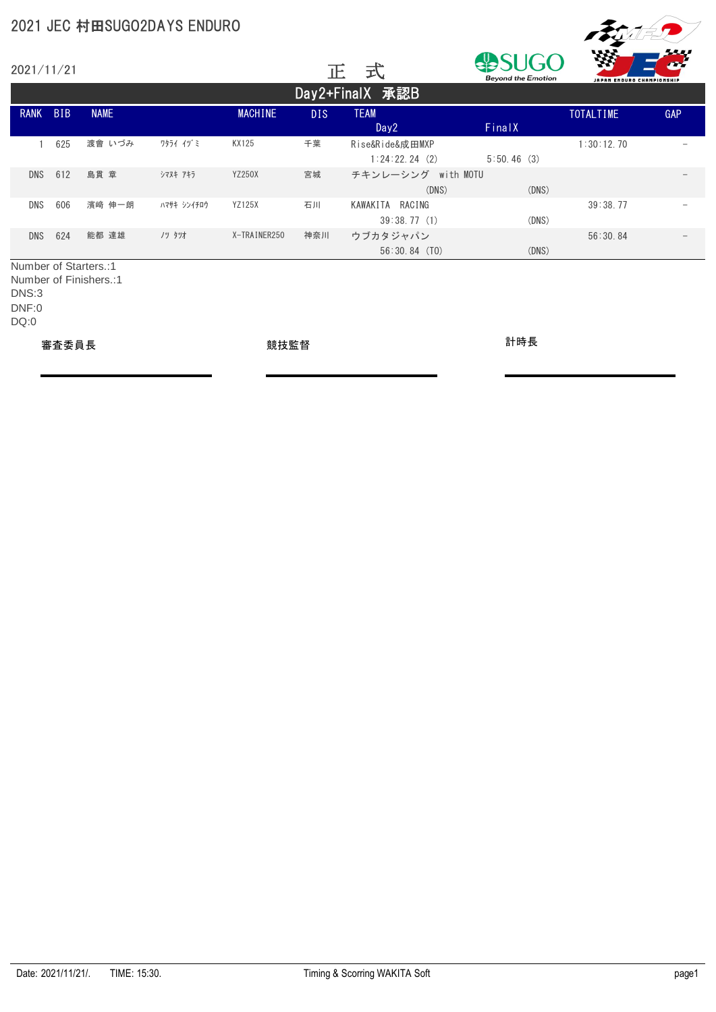| 2021/11/21  |            |                       |             |                |      | 式<br>正                           | <b>Beyond the Emotion</b> | 数<br>JAPAN ENDURO CHAMPIONSHIP | سي         |
|-------------|------------|-----------------------|-------------|----------------|------|----------------------------------|---------------------------|--------------------------------|------------|
|             |            |                       |             |                |      | Day2+FinalX 承認B                  |                           |                                |            |
| <b>RANK</b> | <b>BIB</b> | <b>NAME</b>           |             | <b>MACHINE</b> | DIS. | <b>TEAM</b><br>Day <sub>2</sub>  | FinalX                    | <b>TOTALTIME</b>               | <b>GAP</b> |
|             | 625        | 渡會 いづみ                | ワタライ イヅミ    | KX125          | 千葉   | Rise&Ride&成田MXP<br>1:24:22.24(2) | 5:50.46(3)                | 1:30:12.70                     |            |
| <b>DNS</b>  | 612        | 島貫 章                  | シマヌキ アキラ    | <b>YZ250X</b>  | 宮城   | チキンレーシング with MOTU<br>(DNS)      | (DNS)                     |                                |            |
| DNS         | 606        | 濱﨑 伸一朗                | ハマサキ シンイチロウ | <b>YZ125X</b>  | 石川   | KAWAKITA RACING<br>39:38.77(1)   | (DNS)                     | 39:38.77                       |            |
| <b>DNS</b>  | 624        | 能都 達雄                 | ノツ タツオ      | X-TRAINER250   | 神奈川  | ウブカタジャパン<br>$56:30.84$ (TO)      | (DNS)                     | 56:30.84                       |            |
|             |            | Number of Starters.:1 |             |                |      |                                  |                           |                                |            |

Number of Finishers.:1 DNS:3 DNF:0 DQ:0

審査委員長 競技監督 計時長

**Frysler**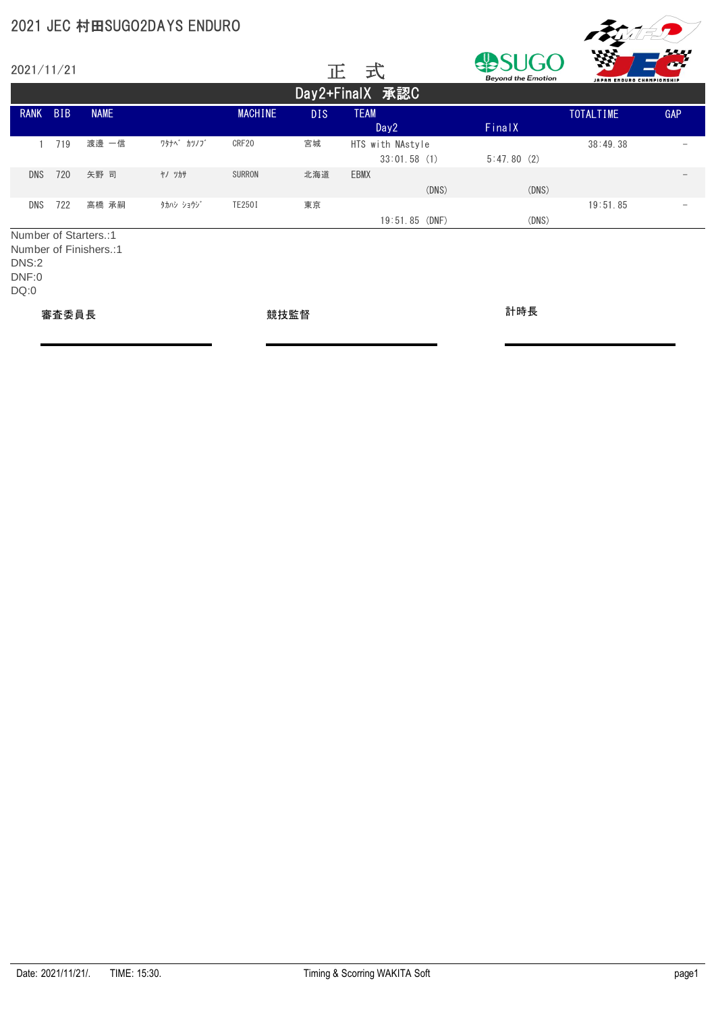